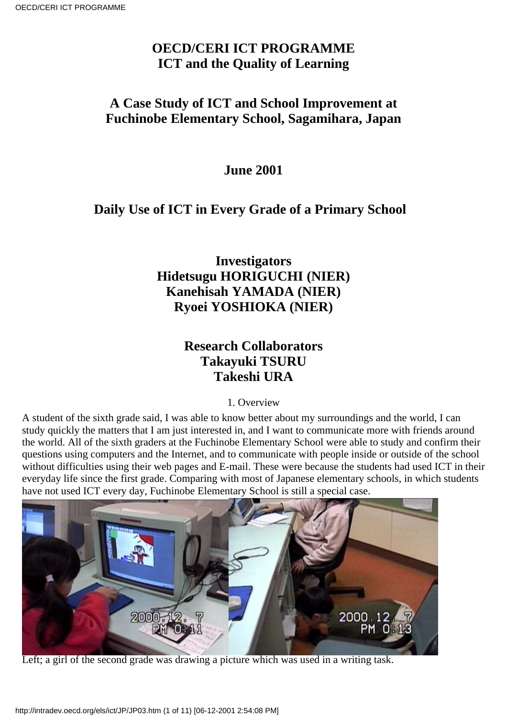# **OECD/CERI ICT PROGRAMME ICT and the Quality of Learning**

### **A Case Study of ICT and School Improvement at Fuchinobe Elementary School, Sagamihara, Japan**

### **June 2001**

### **Daily Use of ICT in Every Grade of a Primary School**

# **Investigators Hidetsugu HORIGUCHI (NIER) Kanehisah YAMADA (NIER) Ryoei YOSHIOKA (NIER)**

# **Research Collaborators Takayuki TSURU Takeshi URA**

1. Overview

A student of the sixth grade said, I was able to know better about my surroundings and the world, I can study quickly the matters that I am just interested in, and I want to communicate more with friends around the world. All of the sixth graders at the Fuchinobe Elementary School were able to study and confirm their questions using computers and the Internet, and to communicate with people inside or outside of the school without difficulties using their web pages and E-mail. These were because the students had used ICT in their everyday life since the first grade. Comparing with most of Japanese elementary schools, in which students have not used ICT every day, Fuchinobe Elementary School is still a special case.



Left; a girl of the second grade was drawing a picture which was used in a writing task.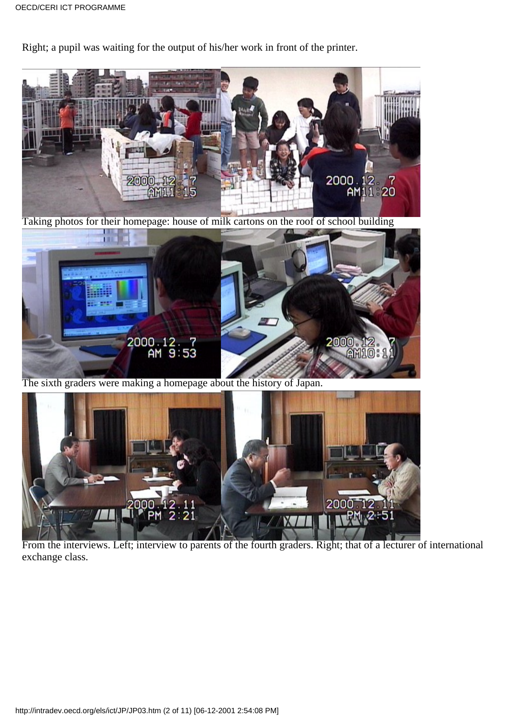Right; a pupil was waiting for the output of his/her work in front of the printer.



From the interviews. Left; interview to parents of the fourth graders. Right; that of a lecturer of international exchange class.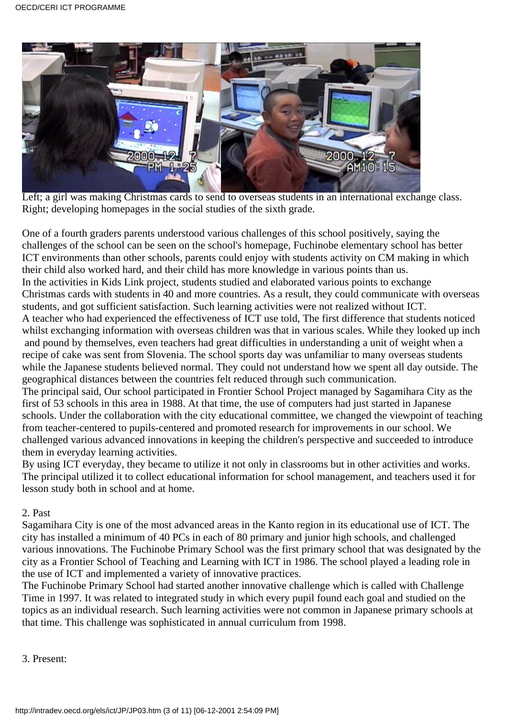

Left; a girl was making Christmas cards to send to overseas students in an international exchange class. Right; developing homepages in the social studies of the sixth grade.

One of a fourth grader s parents understood various challenges of this school positively, saying the challenges of the school can be seen on the school's homepage, Fuchinobe elementary school has better ICT environments than other schools, parents could enjoy with students activity on CM making in which their child also worked hard, and their child has more knowledge in various points than us. In the activities in Kids Link project, students studied and elaborated various points to exchange Christmas cards with students in 40 and more countries. As a result, they could communicate with overseas students, and got sufficient satisfaction. Such learning activities were not realized without ICT. A teacher who had experienced the effectiveness of ICT use told, The first difference that students noticed whilst exchanging information with overseas children was that in various scales. While they looked up inch

 and pound by themselves, even teachers had great difficulties in understanding a unit of weight when a recipe of cake was sent from Slovenia. The school sports day was unfamiliar to many overseas students while the Japanese students believed normal. They could not understand how we spent all day outside. The geographical distances between the countries felt reduced through such communication.

The principal said, Our school participated in Frontier School Project managed by Sagamihara City as the first of 53 schools in this area in 1988. At that time, the use of computers had just started in Japanese schools. Under the collaboration with the city educational committee, we changed the viewpoint of teaching from teacher-centered to pupils-centered and promoted research for improvements in our school. We challenged various advanced innovations in keeping the children's perspective and succeeded to introduce them in everyday learning activities.

By using ICT everyday, they became to utilize it not only in classrooms but in other activities and works. The principal utilized it to collect educational information for school management, and teachers used it for lesson study both in school and at home.

#### 2. Past

Sagamihara City is one of the most advanced areas in the Kanto region in its educational use of ICT. The city has installed a minimum of 40 PCs in each of 80 primary and junior high schools, and challenged various innovations. The Fuchinobe Primary School was the first primary school that was designated by the city as a Frontier School of Teaching and Learning with ICT in 1986. The school played a leading role in the use of ICT and implemented a variety of innovative practices.

The Fuchinobe Primary School had started another innovative challenge which is called with Challenge Time in 1997. It was related to integrated study in which every pupil found each goal and studied on the topics as an individual research. Such learning activities were not common in Japanese primary schools at that time. This challenge was sophisticated in annual curriculum from 1998.

3. Present: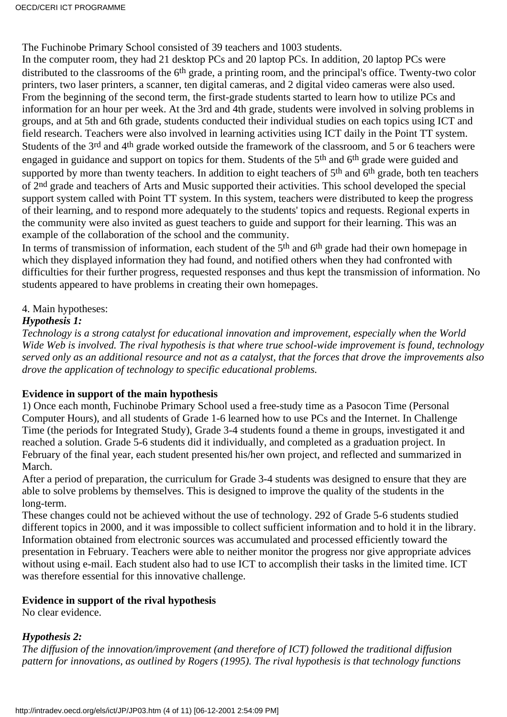The Fuchinobe Primary School consisted of 39 teachers and 1003 students.

In the computer room, they had 21 desktop PCs and 20 laptop PCs. In addition, 20 laptop PCs were distributed to the classrooms of the 6<sup>th</sup> grade, a printing room, and the principal's office. Twenty-two color printers, two laser printers, a scanner, ten digital cameras, and 2 digital video cameras were also used. From the beginning of the second term, the first-grade students started to learn how to utilize PCs and information for an hour per week. At the 3rd and 4th grade, students were involved in solving problems in groups, and at 5th and 6th grade, students conducted their individual studies on each topics using ICT and field research. Teachers were also involved in learning activities using ICT daily in the Point TT system. Students of the 3rd and 4th grade worked outside the framework of the classroom, and 5 or 6 teachers were engaged in guidance and support on topics for them. Students of the 5<sup>th</sup> and 6<sup>th</sup> grade were guided and supported by more than twenty teachers. In addition to eight teachers of 5<sup>th</sup> and 6<sup>th</sup> grade, both ten teachers of 2nd grade and teachers of Arts and Music supported their activities. This school developed the special support system called with Point TT system. In this system, teachers were distributed to keep the progress of their learning, and to respond more adequately to the students' topics and requests. Regional experts in the community were also invited as guest teachers to guide and support for their learning. This was an example of the collaboration of the school and the community.

In terms of transmission of information, each student of the 5<sup>th</sup> and 6<sup>th</sup> grade had their own homepage in which they displayed information they had found, and notified others when they had confronted with difficulties for their further progress, requested responses and thus kept the transmission of information. No students appeared to have problems in creating their own homepages.

#### 4. Main hypotheses:

#### *Hypothesis 1:*

*Technology is a strong catalyst for educational innovation and improvement, especially when the World Wide Web is involved. The rival hypothesis is that where true school-wide improvement is found, technology served only as an additional resource and not as a catalyst, that the forces that drove the improvements also drove the application of technology to specific educational problems.*

#### **Evidence in support of the main hypothesis**

1) Once each month, Fuchinobe Primary School used a free-study time as a Pasocon Time (Personal Computer Hours), and all students of Grade 1-6 learned how to use PCs and the Internet. In Challenge Time (the periods for Integrated Study), Grade 3-4 students found a theme in groups, investigated it and reached a solution. Grade 5-6 students did it individually, and completed as a graduation project. In February of the final year, each student presented his/her own project, and reflected and summarized in March.

After a period of preparation, the curriculum for Grade 3-4 students was designed to ensure that they are able to solve problems by themselves. This is designed to improve the quality of the students in the long-term.

These changes could not be achieved without the use of technology. 292 of Grade 5-6 students studied different topics in 2000, and it was impossible to collect sufficient information and to hold it in the library. Information obtained from electronic sources was accumulated and processed efficiently toward the presentation in February. Teachers were able to neither monitor the progress nor give appropriate advices without using e-mail. Each student also had to use ICT to accomplish their tasks in the limited time. ICT was therefore essential for this innovative challenge.

#### **Evidence in support of the rival hypothesis**

No clear evidence.

### *Hypothesis 2:*

*The diffusion of the innovation/improvement (and therefore of ICT) followed the traditional diffusion pattern for innovations, as outlined by Rogers (1995). The rival hypothesis is that technology functions*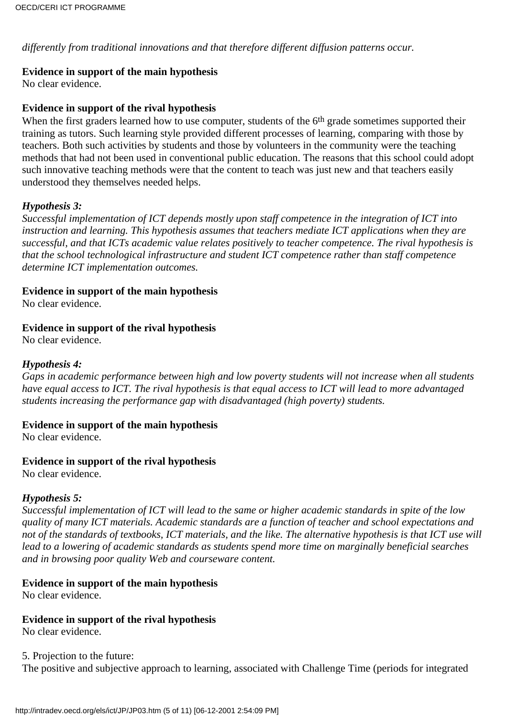*differently from traditional innovations and that therefore different diffusion patterns occur.*

#### **Evidence in support of the main hypothesis**

No clear evidence.

#### **Evidence in support of the rival hypothesis**

When the first graders learned how to use computer, students of the 6<sup>th</sup> grade sometimes supported their training as tutors. Such learning style provided different processes of learning, comparing with those by teachers. Both such activities by students and those by volunteers in the community were the teaching methods that had not been used in conventional public education. The reasons that this school could adopt such innovative teaching methods were that the content to teach was just new and that teachers easily understood they themselves needed helps.

#### *Hypothesis 3:*

*Successful implementation of ICT depends mostly upon staff competence in the integration of ICT into instruction and learning. This hypothesis assumes that teachers mediate ICT applications when they are successful, and that ICT s academic value relates positively to teacher competence. The rival hypothesis is that the school technological infrastructure and student ICT competence rather than staff competence determine ICT implementation outcomes.*

#### **Evidence in support of the main hypothesis**

No clear evidence.

#### **Evidence in support of the rival hypothesis**

No clear evidence.

#### *Hypothesis 4:*

*Gaps in academic performance between high and low poverty students will not increase when all students have equal access to ICT. The rival hypothesis is that equal access to ICT will lead to more advantaged students increasing the performance gap with disadvantaged (high poverty) students.*

#### **Evidence in support of the main hypothesis**

No clear evidence.

#### **Evidence in support of the rival hypothesis**

No clear evidence.

#### *Hypothesis 5:*

*Successful implementation of ICT will lead to the same or higher academic standards in spite of the low quality of many ICT materials. Academic standards are a function of teacher and school expectations and* not of the standards of textbooks, ICT materials, and the like. The alternative hypothesis is that ICT use will *lead to a lowering of academic standards as students spend more time on marginally beneficial searches and in browsing poor quality Web and courseware content.*

#### **Evidence in support of the main hypothesis**

No clear evidence.

#### **Evidence in support of the rival hypothesis**

No clear evidence.

5. Projection to the future: The positive and subjective approach to learning, associated with Challenge Time (periods for integrated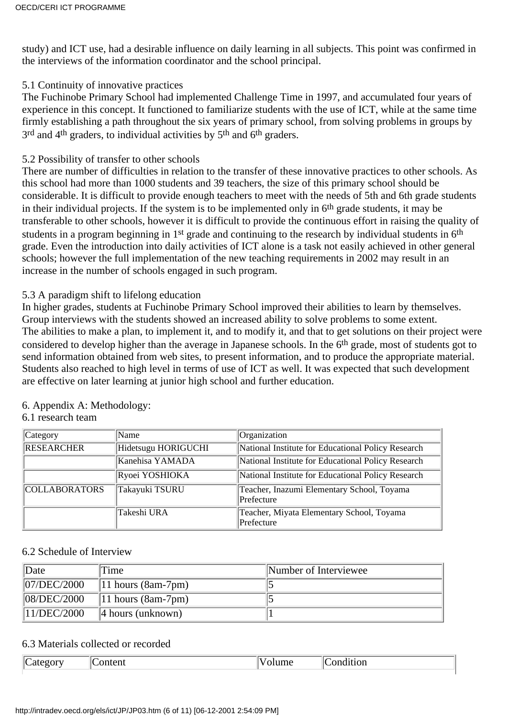study) and ICT use, had a desirable influence on daily learning in all subjects. This point was confirmed in the interviews of the information coordinator and the school principal.

#### 5.1 Continuity of innovative practices

The Fuchinobe Primary School had implemented Challenge Time in 1997, and accumulated four years of experience in this concept. It functioned to familiarize students with the use of ICT, while at the same time firmly establishing a path throughout the six years of primary school, from solving problems in groups by 3<sup>rd</sup> and 4<sup>th</sup> graders, to individual activities by 5<sup>th</sup> and 6<sup>th</sup> graders.

### 5.2 Possibility of transfer to other schools

There are number of difficulties in relation to the transfer of these innovative practices to other schools. As this school had more than 1000 students and 39 teachers, the size of this primary school should be considerable. It is difficult to provide enough teachers to meet with the needs of 5th and 6th grade students in their individual projects. If the system is to be implemented only in  $6<sup>th</sup>$  grade students, it may be transferable to other schools, however it is difficult to provide the continuous effort in raising the quality of students in a program beginning in 1<sup>st</sup> grade and continuing to the research by individual students in 6<sup>th</sup> grade. Even the introduction into daily activities of ICT alone is a task not easily achieved in other general schools; however the full implementation of the new teaching requirements in 2002 may result in an increase in the number of schools engaged in such program.

#### 5.3 A paradigm shift to lifelong education

In higher grades, students at Fuchinobe Primary School improved their abilities to learn by themselves. Group interviews with the students showed an increased ability to solve problems to some extent. The abilities to make a plan, to implement it, and to modify it, and that to get solutions on their project were considered to develop higher than the average in Japanese schools. In the 6th grade, most of students got to send information obtained from web sites, to present information, and to produce the appropriate material. Students also reached to high level in terms of use of ICT as well. It was expected that such development are effective on later learning at junior high school and further education.

| Category             | <b>Name</b>         | Organization                                             |
|----------------------|---------------------|----------------------------------------------------------|
| RESEARCHER           | Hidetsugu HORIGUCHI | National Institute for Educational Policy Research       |
|                      | Kanehisa YAMADA     | National Institute for Educational Policy Research       |
|                      | Ryoei YOSHIOKA      | National Institute for Educational Policy Research       |
| <b>COLLABORATORS</b> | Takayuki TSURU      | Teacher, Inazumi Elementary School, Toyama<br>Prefecture |
|                      | Takeshi URA         | Teacher, Miyata Elementary School, Toyama<br>Prefecture  |

#### 6. Appendix A: Methodology: 6.1 research team

#### 6.2 Schedule of Interview

| Date        | ime                           | Number of Interviewee |
|-------------|-------------------------------|-----------------------|
| 07/DEC/2000 | $ 11 \text{ hours}$ (8am-7pm) |                       |
| 08/DEC/2000 | $ 11 \text{ hours}$ (8am-7pm) |                       |
| 11/DEC/2000 | $\parallel$ 4 hours (unknown) |                       |

#### 6.3 Materials collected or recorded

| ---<br>- | 11 I F |  | $\sim$ $\sim$ |  |  | $\mathsf{IC}$<br>- --- |
|----------|--------|--|---------------|--|--|------------------------|
|----------|--------|--|---------------|--|--|------------------------|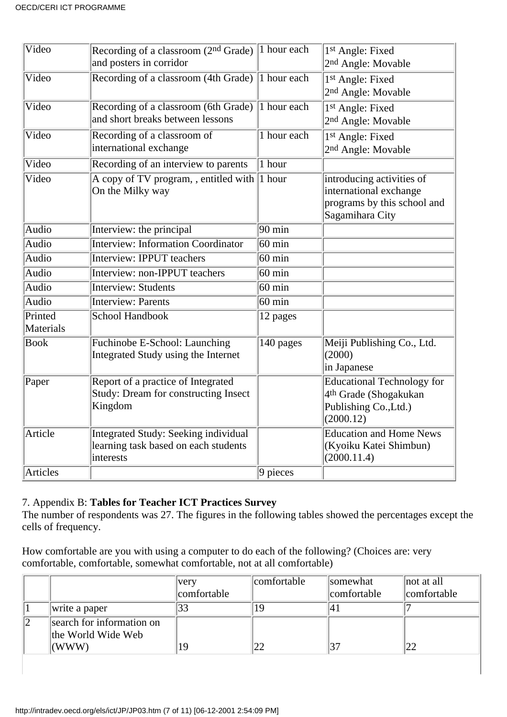| Video     | Recording of a classroom $(2nd Grade)$ 1 hour each |                       | 1st Angle: Fixed                  |
|-----------|----------------------------------------------------|-----------------------|-----------------------------------|
|           | and posters in corridor                            |                       | 2 <sup>nd</sup> Angle: Movable    |
| Video     | Recording of a classroom (4th Grade) 1 hour each   |                       | 1st Angle: Fixed                  |
|           |                                                    |                       | 2 <sup>nd</sup> Angle: Movable    |
| Video     | Recording of a classroom (6th Grade)               | 1 hour each           | 1st Angle: Fixed                  |
|           | and short breaks between lessons                   |                       | 2 <sup>nd</sup> Angle: Movable    |
| Video     | Recording of a classroom of                        | 1 hour each           | 1st Angle: Fixed                  |
|           | international exchange                             |                       | 2 <sup>nd</sup> Angle: Movable    |
| Video     | Recording of an interview to parents               | 1 hour                |                                   |
| Video     | A copy of TV program, , entitled with              | $ 1$ hour             | introducing activities of         |
|           | On the Milky way                                   |                       | international exchange            |
|           |                                                    |                       | programs by this school and       |
|           |                                                    |                       | Sagamihara City                   |
| Audio     | Interview: the principal                           | 90 min                |                                   |
| Audio     | <b>Interview: Information Coordinator</b>          | $60$ min              |                                   |
| Audio     | <b>Interview: IPPUT teachers</b>                   | $60 \text{ min}$      |                                   |
| Audio     | Interview: non-IPPUT teachers                      | $60$ min              |                                   |
| Audio     | <b>Interview: Students</b>                         | $60$ min              |                                   |
| Audio     | <b>Interview: Parents</b>                          | $60$ min              |                                   |
| Printed   | School Handbook                                    | 12 pages              |                                   |
| Materials |                                                    |                       |                                   |
| Book      | Fuchinobe E-School: Launching                      | 140 pages             | Meiji Publishing Co., Ltd.        |
|           | Integrated Study using the Internet                |                       | (2000)                            |
|           |                                                    |                       | in Japanese                       |
| Paper     | Report of a practice of Integrated                 |                       | <b>Educational Technology for</b> |
|           | <b>Study: Dream for constructing Insect</b>        |                       | 4 <sup>th</sup> Grade (Shogakukan |
|           | Kingdom                                            |                       | Publishing Co., Ltd.)             |
|           |                                                    |                       | (2000.12)                         |
| Article   | <b>Integrated Study: Seeking individual</b>        |                       | <b>Education and Home News</b>    |
|           | learning task based on each student s              |                       | (Kyoiku Katei Shimbun)            |
|           | interests                                          |                       | (2000.11.4)                       |
| Articles  |                                                    | $\overline{9}$ pieces |                                   |

#### 7. Appendix B: **Tables for Teacher ICT Practices Survey**

The number of respondents was 27. The figures in the following tables showed the percentages except the cells of frequency.

How comfortable are you with using a computer to do each of the following? (Choices are: very comfortable, comfortable, somewhat comfortable, not at all comfortable)

|                           | very        | comfortable | somewhat    | $\parallel$ not at all |
|---------------------------|-------------|-------------|-------------|------------------------|
|                           | comfortable |             | comfortable | comfortable            |
| write a paper             | 33          |             |             |                        |
| search for information on |             |             |             |                        |
| the World Wide Web        |             |             |             |                        |
| (WWW)                     | 19          |             |             |                        |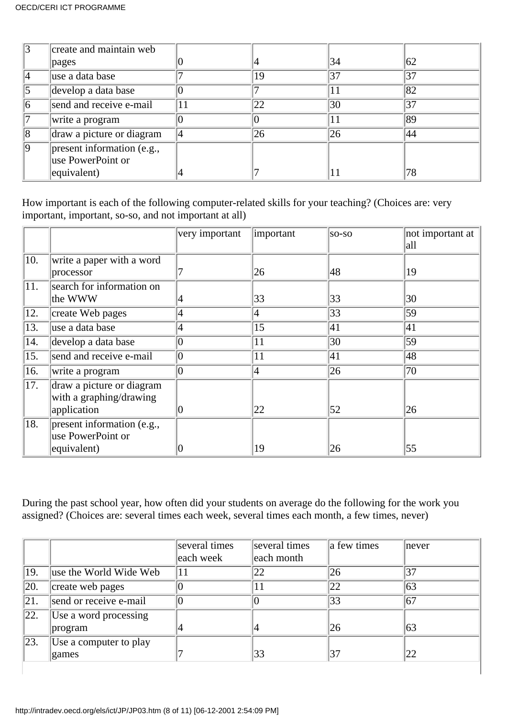|    | create and maintain web    |    |    |    |    |
|----|----------------------------|----|----|----|----|
|    | pages                      |    |    | 34 | 62 |
|    | use a data base            |    | 19 | 37 | 37 |
|    | develop a data base        |    |    |    | 82 |
|    | send and receive e-mail    | 11 | 22 | 30 | 37 |
|    | write a program            |    |    |    | 89 |
| 18 | draw a picture or diagram  |    | 26 | 26 | 44 |
| ١q | present information (e.g., |    |    |    |    |
|    | use PowerPoint or          |    |    |    |    |
|    | equivalent)                |    |    |    |    |

How important is each of the following computer-related skills for your teaching? (Choices are: very important, important, so-so, and not important at all)

|     |                                                                     | very important | important | so-so        | not important at<br> all |
|-----|---------------------------------------------------------------------|----------------|-----------|--------------|--------------------------|
| 10. | write a paper with a word<br>processor                              |                | 26        | 48           | 19                       |
| 11. | search for information on<br>the WWW                                |                | 33        | 33           | 30                       |
| 12. | create Web pages                                                    | 4              | 4         | $ 33\rangle$ | 59                       |
| 13. | use a data base                                                     | 4              | 15        | 41           | 41                       |
| 14. | develop a data base                                                 | 0              | 11        | 30           | 59                       |
| 15. | send and receive e-mail                                             | 10             | 11        | 41           | 48                       |
| 16. | write a program                                                     |                | 4         | $ 26\rangle$ | 70                       |
| 17. | draw a picture or diagram<br>with a graphing/drawing<br>application |                | 22        | 52           | 26                       |
| 18. | $ present\ information$ (e.g.,<br>use PowerPoint or<br>equivalent)  |                | 19        | 26           | 55                       |

During the past school year, how often did your students on average do the following for the work you assigned? (Choices are: several times each week, several times each month, a few times, never)

|     |                        | several times | several times | a few times | never |
|-----|------------------------|---------------|---------------|-------------|-------|
|     |                        | each week     | each month    |             |       |
| 19. | use the World Wide Web | 11            | 22            | 26          |       |
| 20. | create web pages       |               |               | 22          | 63    |
| 21. | send or receive e-mail |               |               | 33          | 67    |
| 22. | Use a word processing  |               |               |             |       |
|     | program                |               |               | 26          | 63    |
| 23. | Use a computer to play |               |               |             |       |
|     | games                  |               | 33            | 37          | 22    |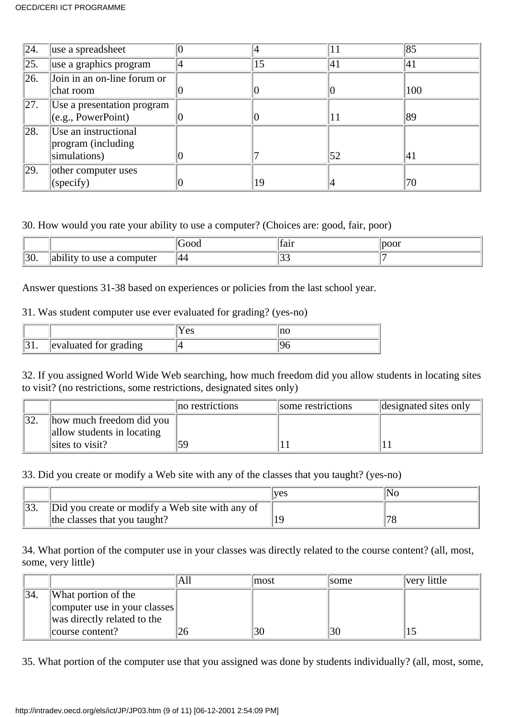| $\sqrt{24}$ .     | use a spreadsheet                                          |    |     | 85  |
|-------------------|------------------------------------------------------------|----|-----|-----|
| $\overline{25}$ . | use a graphics program                                     | 15 | 141 | 41  |
| 26.               | Join in an on-line forum or<br>chat room                   |    |     | 100 |
| 27.               | Use a presentation program<br>$\ $ (e.g., PowerPoint)      |    |     | 89  |
| $\sqrt{28}$ .     | Use an instructional<br>program (including<br>simulations) |    | 52  | 41  |
| $\sqrt{29}$ .     | other computer uses<br>(specify)                           | 19 |     | 70  |

#### 30. How would you rate your ability to use a computer? (Choices are: good, fair, poor)

|             |                        | $\cdot$ 100 $\mathsf{L}$ | tan | oor |
|-------------|------------------------|--------------------------|-----|-----|
| ിറ്റ<br>JU. | .<br>to use a computer | 144                      |     |     |

Answer questions 31-38 based on experiences or policies from the last school year.

#### 31. Was student computer use ever evaluated for grading? (yes-no)

|                       | $\Delta C$<br>l Co |  |
|-----------------------|--------------------|--|
| evaluated for grading |                    |  |

32. If you assigned World Wide Web searching, how much freedom did you allow students in locating sites to visit? (no restrictions, some restrictions, designated sites only)

|                                                        | no restrictions | some restrictions | designated sites only |
|--------------------------------------------------------|-----------------|-------------------|-----------------------|
| how much freedom did you<br>allow students in locating |                 |                   |                       |
| sites to visit?                                        | 59              |                   |                       |

33. Did you create or modify a Web site with any of the classes that you taught? (yes-no)

|                                                 | lves |  |
|-------------------------------------------------|------|--|
| Did you create or modify a Web site with any of |      |  |
| the classes that you taught?                    |      |  |

34. What portion of the computer use in your classes was directly related to the course content? (all, most, some, very little)

|                 |                              | AШ | lmost | <b>some</b> | very little |
|-----------------|------------------------------|----|-------|-------------|-------------|
| $\frac{134}{.}$ | What portion of the          |    |       |             |             |
|                 | computer use in your classes |    |       |             |             |
|                 | was directly related to the  |    |       |             |             |
|                 | course content?              |    | 30    | 30          |             |

35. What portion of the computer use that you assigned was done by students individually? (all, most, some,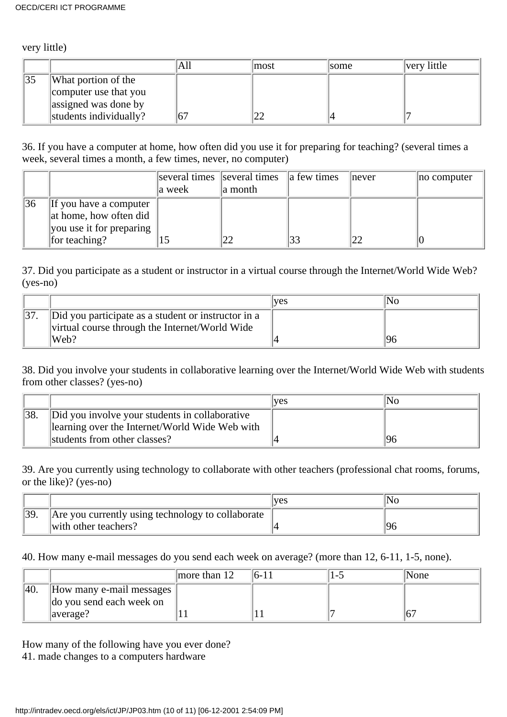very little)

|     |                        | All | lmost | <i>some</i> | very little |
|-----|------------------------|-----|-------|-------------|-------------|
| 135 | What portion of the    |     |       |             |             |
|     | computer use that you  |     |       |             |             |
|     | assigned was done by   |     |       |             |             |
|     | students individually? |     |       |             |             |

36. If you have a computer at home, how often did you use it for preparing for teaching? (several times a week, several times a month, a few times, never, no computer)

|    |                                                                                                    | a week | $\parallel$ several times $\parallel$ several times $\parallel$ a few times<br>a month | lnever | no computer |
|----|----------------------------------------------------------------------------------------------------|--------|----------------------------------------------------------------------------------------|--------|-------------|
| 36 | $\ $ If you have a computer<br>at home, how often did<br>you use it for preparing<br>for teaching? |        |                                                                                        |        |             |

37. Did you participate as a student or instructor in a virtual course through the Internet/World Wide Web? (yes-no)

|                                                                                                       | ves | NG |
|-------------------------------------------------------------------------------------------------------|-----|----|
| Did you participate as a student or instructor in a<br>virtual course through the Internet/World Wide |     |    |
| Web?                                                                                                  |     |    |

38. Did you involve your students in collaborative learning over the Internet/World Wide Web with students from other classes? (yes-no)

|    |                                                | <b>ves</b> | Nc |
|----|------------------------------------------------|------------|----|
| 38 | Did you involve your students in collaborative |            |    |
|    | learning over the Internet/World Wide Web with |            |    |
|    | students from other classes?                   |            |    |

39. Are you currently using technology to collaborate with other teachers (professional chat rooms, forums, or the like)? (yes-no)

|     |                                                   | lves |  |
|-----|---------------------------------------------------|------|--|
| 39. | Are you currently using technology to collaborate |      |  |
|     | $\vert\vert$ with other teachers?                 |      |  |

40. How many e-mail messages do you send each week on average? (more than 12, 6-11, 1-5, none).

|     |                                                             | more than $12$ | $16-11$ | 'None |
|-----|-------------------------------------------------------------|----------------|---------|-------|
| 40. | How many e-mail messages                                    |                |         |       |
|     | do you send each week on<br>$\vert \text{average?} \rangle$ |                |         |       |

How many of the following have you ever done? 41. made changes to a computer s hardware